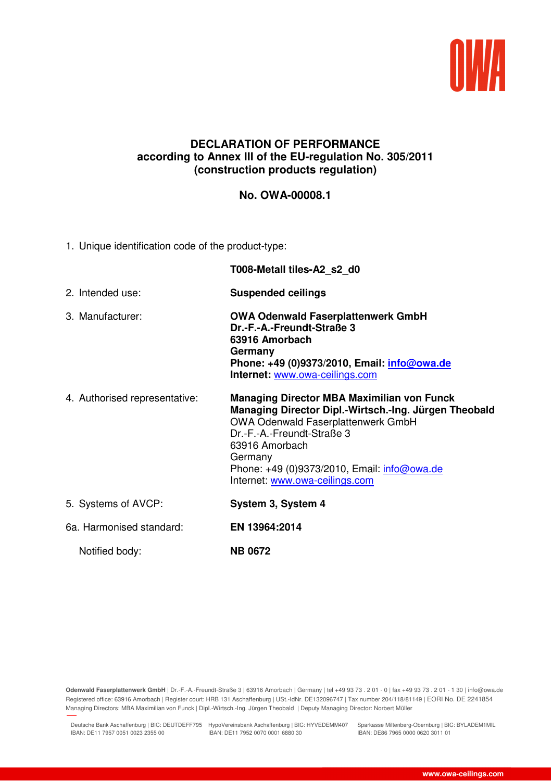

## **DECLARATION OF PERFORMANCE according to Annex III of the EU-regulation No. 305/2011 (construction products regulation)**

## **No. OWA-00008.1**

1. Unique identification code of the product-type:

|                               | T008-Metall tiles-A2 s2 d0                                                                                                                                                                                                                                                                          |
|-------------------------------|-----------------------------------------------------------------------------------------------------------------------------------------------------------------------------------------------------------------------------------------------------------------------------------------------------|
| 2. Intended use:              | <b>Suspended ceilings</b>                                                                                                                                                                                                                                                                           |
| 3. Manufacturer:              | <b>OWA Odenwald Faserplattenwerk GmbH</b><br>Dr.-F.-A.-Freundt-Straße 3<br>63916 Amorbach<br>Germany<br>Phone: +49 (0)9373/2010, Email: <i>info@owa.de</i><br>Internet: www.owa-ceilings.com                                                                                                        |
| 4. Authorised representative: | <b>Managing Director MBA Maximilian von Funck</b><br>Managing Director Dipl.-Wirtsch.-Ing. Jürgen Theobald<br><b>OWA Odenwald Faserplattenwerk GmbH</b><br>Dr.-F.-A.-Freundt-Straße 3<br>63916 Amorbach<br>Germany<br>Phone: +49 (0)9373/2010, Email: info@owa.de<br>Internet: www.owa-ceilings.com |
| 5. Systems of AVCP:           | System 3, System 4                                                                                                                                                                                                                                                                                  |
| 6a. Harmonised standard:      | EN 13964:2014                                                                                                                                                                                                                                                                                       |
| Notified body:                | <b>NB 0672</b>                                                                                                                                                                                                                                                                                      |

**Odenwald Faserplattenwerk GmbH** | Dr.-F.-A.-Freundt-Straße 3 | 63916 Amorbach | Germany | tel +49 93 73 . 2 01 - 0 | fax +49 93 73 . 2 01 - 1 30 | info@owa.de Registered office: 63916 Amorbach | Register court: HRB 131 Aschaffenburg | USt.-IdNr. DE132096747 | Tax number 204/118/81149 | EORI No. DE 2241854 Managing Directors: MBA Maximilian von Funck | Dipl.-Wirtsch.-Ing. Jürgen Theobald | Deputy Managing Director: Norbert Müller

Deutsche Bank Aschaffenburg | BIC: DEUTDEFF795 HypoVereinsbank Aschaffenburg | BIC: HYVEDEMM407 Sparkasse Miltenberg-Obernburg | BIC: BYLADEM1MIL IBAN: DE11 7957 0051 0023 2355 00 IBAN: DE11 7952 0070 0001 6880 30

27.11.2018 11:35

IBAN: DE86 7965 0000 0620 3011 01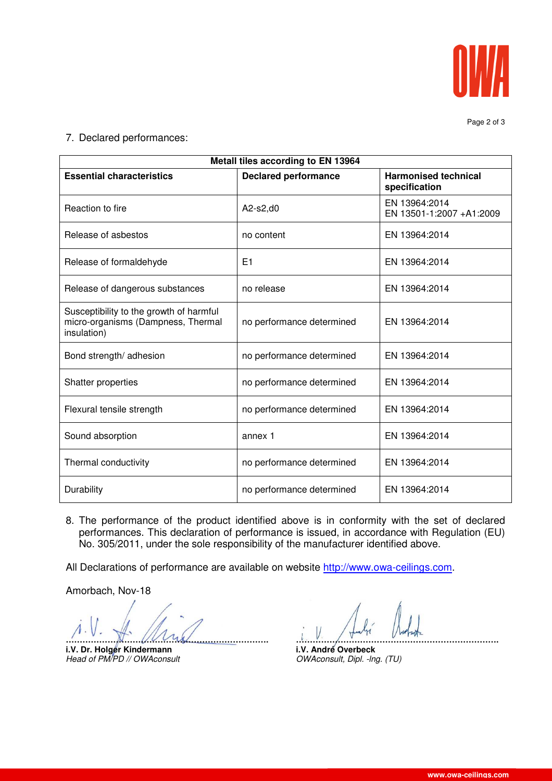

Page 2 of 3

7. Declared performances:

| Metall tiles according to EN 13964                                                           |                             |                                              |  |
|----------------------------------------------------------------------------------------------|-----------------------------|----------------------------------------------|--|
| <b>Essential characteristics</b>                                                             | <b>Declared performance</b> | <b>Harmonised technical</b><br>specification |  |
| Reaction to fire                                                                             | A2-s2,d0                    | EN 13964:2014<br>EN 13501-1:2007 +A1:2009    |  |
| Release of asbestos                                                                          | no content                  | EN 13964:2014                                |  |
| Release of formaldehyde                                                                      | E1                          | EN 13964:2014                                |  |
| Release of dangerous substances                                                              | no release                  | EN 13964:2014                                |  |
| Susceptibility to the growth of harmful<br>micro-organisms (Dampness, Thermal<br>insulation) | no performance determined   | EN 13964:2014                                |  |
| Bond strength/ adhesion                                                                      | no performance determined   | EN 13964:2014                                |  |
| Shatter properties                                                                           | no performance determined   | EN 13964:2014                                |  |
| Flexural tensile strength                                                                    | no performance determined   | EN 13964:2014                                |  |
| Sound absorption                                                                             | annex 1                     | EN 13964:2014                                |  |
| Thermal conductivity                                                                         | no performance determined   | EN 13964:2014                                |  |
| Durability                                                                                   | no performance determined   | EN 13964:2014                                |  |

8. The performance of the product identified above is in conformity with the set of declared performances. This declaration of performance is issued, in accordance with Regulation (EU) No. 305/2011, under the sole responsibility of the manufacturer identified above.

All Declarations of performance are available on website http://www.owa-ceilings.com.

Amorbach, Nov-18

**i.V. Dr. Holger Kindermann**<br>Head of PM/PD // OWAconsult

**………………………………………………………………. ……………………………………………………………….** OWAconsult, Dipl. -lng. (TU)